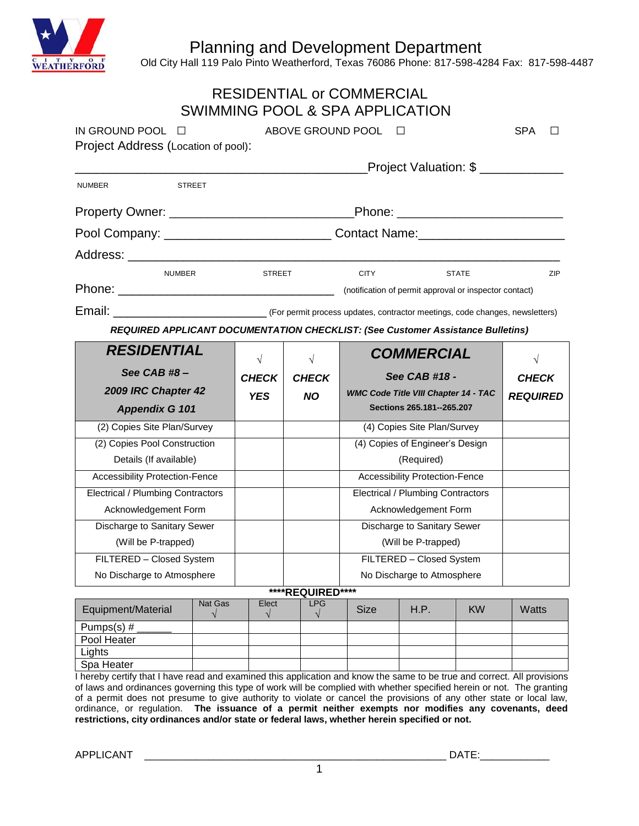Planning and Development Department



 $\frac{1}{\sqrt{1}}$ H $\rm \check{E}$ R $\rm \check{D}$  Cold City Hall 119 Palo Pinto Weatherford, Texas 76086 Phone: 817-598-4284 Fax: 817-598-4487

|                                                                                 |                          |                                               |                  | <b>RESIDENTIAL or COMMERCIAL</b><br>SWIMMING POOL & SPA APPLICATION |                                          |              |                 |     |  |
|---------------------------------------------------------------------------------|--------------------------|-----------------------------------------------|------------------|---------------------------------------------------------------------|------------------------------------------|--------------|-----------------|-----|--|
| IN GROUND POOL $\Box$                                                           | ABOVE GROUND POOL $\Box$ |                                               |                  |                                                                     |                                          | <b>SPA</b>   | $\perp$         |     |  |
| Project Address (Location of pool):                                             |                          |                                               |                  |                                                                     |                                          |              |                 |     |  |
|                                                                                 |                          |                                               |                  |                                                                     | Project Valuation: \$ ____________       |              |                 |     |  |
| NUMBER                                                                          | <b>STREET</b>            |                                               |                  |                                                                     |                                          |              |                 |     |  |
|                                                                                 |                          |                                               |                  |                                                                     |                                          |              |                 |     |  |
|                                                                                 |                          |                                               |                  |                                                                     |                                          |              |                 |     |  |
|                                                                                 |                          |                                               |                  |                                                                     |                                          |              |                 |     |  |
| <b>NUMBER</b>                                                                   |                          | <b>STREET</b>                                 |                  | <b>CITY</b>                                                         |                                          | <b>STATE</b> |                 | ZIP |  |
|                                                                                 |                          |                                               |                  |                                                                     |                                          |              |                 |     |  |
|                                                                                 |                          |                                               |                  |                                                                     |                                          |              |                 |     |  |
| REQUIRED APPLICANT DOCUMENTATION CHECKLIST: (See Customer Assistance Bulletins) |                          |                                               |                  |                                                                     |                                          |              |                 |     |  |
| <b>RESIDENTIAL</b>                                                              |                          | $\sqrt{ }$                                    | $\sqrt{ }$       | <b>COMMERCIAL</b>                                                   |                                          | $\sqrt{}$    |                 |     |  |
| See CAB #8-                                                                     |                          | See CAB #18 -<br><b>CHECK</b><br><b>CHECK</b> |                  |                                                                     | <b>CHECK</b>                             |              |                 |     |  |
| 2009 IRC Chapter 42                                                             |                          |                                               |                  | <b>WMC Code Title VIII Chapter 14 - TAC</b>                         |                                          |              |                 |     |  |
|                                                                                 |                          | <b>YES</b>                                    | <b>NO</b>        |                                                                     |                                          |              | <b>REQUIRED</b> |     |  |
| <b>Appendix G 101</b>                                                           |                          |                                               |                  |                                                                     | Sections 265.181--265.207                |              |                 |     |  |
| (2) Copies Site Plan/Survey                                                     |                          |                                               |                  |                                                                     | (4) Copies Site Plan/Survey              |              |                 |     |  |
| (2) Copies Pool Construction                                                    |                          |                                               |                  |                                                                     | (4) Copies of Engineer's Design          |              |                 |     |  |
| Details (If available)                                                          |                          |                                               |                  |                                                                     | (Required)                               |              |                 |     |  |
| <b>Accessibility Protection-Fence</b>                                           |                          |                                               |                  |                                                                     | <b>Accessibility Protection-Fence</b>    |              |                 |     |  |
| <b>Electrical / Plumbing Contractors</b>                                        |                          |                                               |                  |                                                                     | <b>Electrical / Plumbing Contractors</b> |              |                 |     |  |
| Acknowledgement Form                                                            |                          |                                               |                  |                                                                     | Acknowledgement Form                     |              |                 |     |  |
| Discharge to Sanitary Sewer                                                     |                          |                                               |                  |                                                                     | Discharge to Sanitary Sewer              |              |                 |     |  |
| (Will be P-trapped)                                                             |                          |                                               |                  |                                                                     | (Will be P-trapped)                      |              |                 |     |  |
| FILTERED - Closed System                                                        |                          |                                               |                  |                                                                     | FILTERED - Closed System                 |              |                 |     |  |
| No Discharge to Atmosphere                                                      |                          |                                               |                  |                                                                     | No Discharge to Atmosphere               |              |                 |     |  |
|                                                                                 |                          |                                               | ****REQUIRED**** |                                                                     |                                          |              |                 |     |  |
| Equipment/Material                                                              | Nat Gas                  | Elect<br>$\sqrt{}$                            | <b>LPG</b><br>√  | <b>Size</b>                                                         | H.P.                                     | <b>KW</b>    | Watts           |     |  |
| Pumps(s) $#$<br>Pool Heater                                                     |                          |                                               |                  |                                                                     |                                          |              |                 |     |  |

I hereby certify that I have read and examined this application and know the same to be true and correct. All provisions of laws and ordinances governing this type of work will be complied with whether specified herein or not. The granting of a permit does not presume to give authority to violate or cancel the provisions of any other state or local law, ordinance, or regulation. **The issuance of a permit neither exempts nor modifies any covenants, deed restrictions, city ordinances and/or state or federal laws, whether herein specified or not.**

Lights Spa Heater